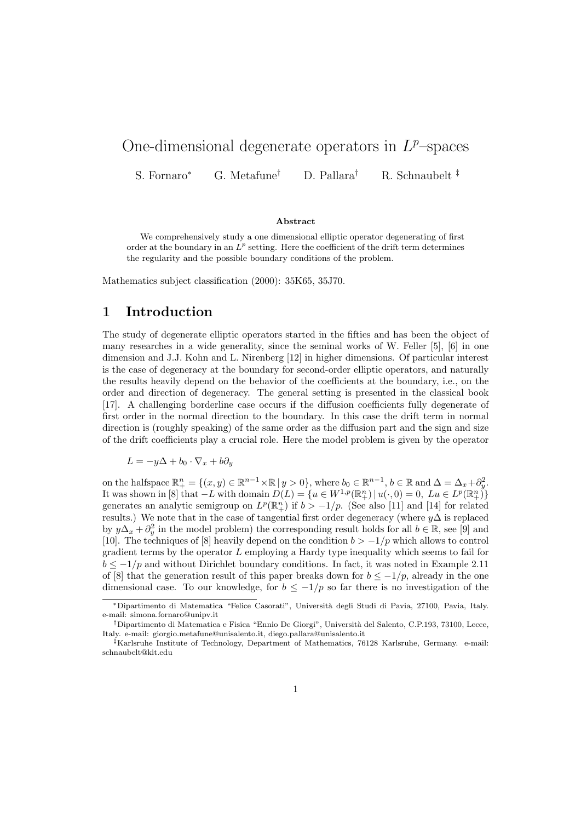# One-dimensional degenerate operators in  $L^p$ -spaces

S. Fornaro<sup>∗</sup> G. Metafune† D. Pallara† R. Schnaubelt ‡

#### Abstract

We comprehensively study a one dimensional elliptic operator degenerating of first order at the boundary in an  $L^p$  setting. Here the coefficient of the drift term determines the regularity and the possible boundary conditions of the problem.

Mathematics subject classification (2000): 35K65, 35J70.

### 1 Introduction

The study of degenerate elliptic operators started in the fifties and has been the object of many researches in a wide generality, since the seminal works of W. Feller [5], [6] in one dimension and J.J. Kohn and L. Nirenberg [12] in higher dimensions. Of particular interest is the case of degeneracy at the boundary for second-order elliptic operators, and naturally the results heavily depend on the behavior of the coefficients at the boundary, i.e., on the order and direction of degeneracy. The general setting is presented in the classical book [17]. A challenging borderline case occurs if the diffusion coefficients fully degenerate of first order in the normal direction to the boundary. In this case the drift term in normal direction is (roughly speaking) of the same order as the diffusion part and the sign and size of the drift coefficients play a crucial role. Here the model problem is given by the operator

$$
L = -y\Delta + b_0 \cdot \nabla_x + b\partial_y
$$

on the halfspace  $\mathbb{R}^n_+ = \{(x, y) \in \mathbb{R}^{n-1} \times \mathbb{R} \mid y > 0\}$ , where  $b_0 \in \mathbb{R}^{n-1}$ ,  $b \in \mathbb{R}$  and  $\Delta = \Delta_x + \partial_y^2$ . It was shown in [8] that  $-L$  with domain  $D(L) = \{u \in W^{1,p}(\mathbb{R}^n_+) \mid u(\cdot,0) = 0, \; Lu \in L^p(\mathbb{R}^n_+)\}$ generates an analytic semigroup on  $L^p(\mathbb{R}^n_+)$  if  $b > -1/p$ . (See also [11] and [14] for related results.) We note that in the case of tangential first order degeneracy (where  $y\Delta$  is replaced by  $y\Delta_x + \partial_y^2$  in the model problem) the corresponding result holds for all  $b \in \mathbb{R}$ , see [9] and [10]. The techniques of [8] heavily depend on the condition  $b > -1/p$  which allows to control gradient terms by the operator  $L$  employing a Hardy type inequality which seems to fail for  $b \le -1/p$  and without Dirichlet boundary conditions. In fact, it was noted in Example 2.11 of [8] that the generation result of this paper breaks down for  $b \le -1/p$ , already in the one dimensional case. To our knowledge, for  $b \leq -1/p$  so far there is no investigation of the

<sup>∗</sup>Dipartimento di Matematica "Felice Casorati", Universit`a degli Studi di Pavia, 27100, Pavia, Italy. e-mail: simona.fornaro@unipv.it

<sup>†</sup>Dipartimento di Matematica e Fisica "Ennio De Giorgi", Universit`a del Salento, C.P.193, 73100, Lecce, Italy. e-mail: giorgio.metafune@unisalento.it, diego.pallara@unisalento.it

<sup>‡</sup>Karlsruhe Institute of Technology, Department of Mathematics, 76128 Karlsruhe, Germany. e-mail: schnaubelt@kit.edu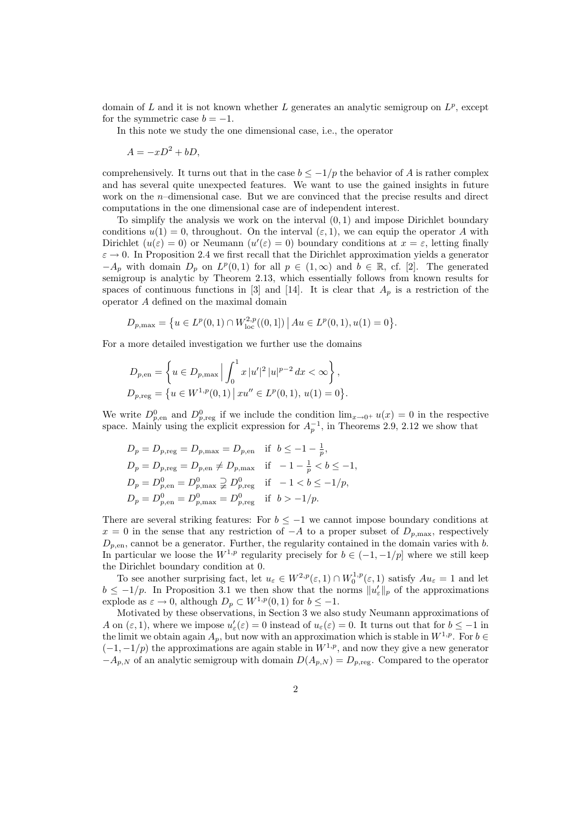domain of L and it is not known whether L generates an analytic semigroup on  $L^p$ , except for the symmetric case  $b = -1$ .

In this note we study the one dimensional case, i.e., the operator

$$
A = -xD^2 + bD,
$$

comprehensively. It turns out that in the case  $b \leq -1/p$  the behavior of A is rather complex and has several quite unexpected features. We want to use the gained insights in future work on the n–dimensional case. But we are convinced that the precise results and direct computations in the one dimensional case are of independent interest.

To simplify the analysis we work on the interval (0, 1) and impose Dirichlet boundary conditions  $u(1) = 0$ , throughout. On the interval  $(\varepsilon, 1)$ , we can equip the operator A with Dirichlet  $(u(\varepsilon) = 0)$  or Neumann  $(u'(\varepsilon) = 0)$  boundary conditions at  $x = \varepsilon$ , letting finally  $\varepsilon \to 0$ . In Proposition 2.4 we first recall that the Dirichlet approximation yields a generator  $-A_p$  with domain  $D_p$  on  $L^p(0,1)$  for all  $p \in (1,\infty)$  and  $b \in \mathbb{R}$ , cf. [2]. The generated semigroup is analytic by Theorem 2.13, which essentially follows from known results for spaces of continuous functions in [3] and [14]. It is clear that  $A_p$  is a restriction of the operator A defined on the maximal domain

$$
D_{p,\max} = \{ u \in L^p(0,1) \cap W^{2,p}_{\text{loc}}((0,1]) \, \big| \, Au \in L^p(0,1), u(1) = 0 \}.
$$

For a more detailed investigation we further use the domains

$$
D_{p,en} = \left\{ u \in D_{p,\max} \, \Big| \int_0^1 x \, |u'|^2 \, |u|^{p-2} \, dx < \infty \right\},
$$
\n
$$
D_{p,\text{reg}} = \left\{ u \in W^{1,p}(0,1) \, \Big| \, xu'' \in L^p(0,1), \, u(1) = 0 \right\}.
$$

We write  $D_{p,\text{en}}^0$  and  $D_{p,\text{reg}}^0$  if we include the condition  $\lim_{x\to 0^+} u(x) = 0$  in the respective space. Mainly using the explicit expression for  $A_p^{-1}$ , in Theorems 2.9, 2.12 we show that

$$
D_p = D_{p,\text{reg}} = D_{p,\text{max}} = D_{p,\text{en}} \quad \text{if} \quad b \le -1 - \frac{1}{p},
$$
  
\n
$$
D_p = D_{p,\text{reg}} = D_{p,\text{en}} \ne D_{p,\text{max}} \quad \text{if} \quad -1 - \frac{1}{p} < b \le -1,
$$
  
\n
$$
D_p = D_{p,\text{en}}^0 = D_{p,\text{max}}^0 \supsetneq D_{p,\text{reg}}^0 \quad \text{if} \quad -1 < b \le -1/p,
$$
  
\n
$$
D_p = D_{p,\text{en}}^0 = D_{p,\text{max}}^0 = D_{p,\text{reg}}^0 \quad \text{if} \quad b > -1/p.
$$

There are several striking features: For  $b \leq -1$  we cannot impose boundary conditions at  $x = 0$  in the sense that any restriction of  $-A$  to a proper subset of  $D_{p,\text{max}}$ , respectively  $D_{p,en}$ , cannot be a generator. Further, the regularity contained in the domain varies with b. In particular we loose the  $W^{1,p}$  regularity precisely for  $b \in (-1, -1/p]$  where we still keep the Dirichlet boundary condition at 0.

To see another surprising fact, let  $u_{\varepsilon} \in W^{2,p}(\varepsilon,1) \cap W_0^{1,p}(\varepsilon,1)$  satisfy  $Au_{\varepsilon} = 1$  and let  $b \leq -1/p$ . In Proposition 3.1 we then show that the norms  $||u'_{\varepsilon}||_p$  of the approximations explode as  $\varepsilon \to 0$ , although  $D_p \subset W^{1,p}(0,1)$  for  $b \leq -1$ .

Motivated by these observations, in Section 3 we also study Neumann approximations of A on  $(\varepsilon, 1)$ , where we impose  $u'_{\varepsilon}(\varepsilon) = 0$  instead of  $u_{\varepsilon}(\varepsilon) = 0$ . It turns out that for  $b \le -1$  in the limit we obtain again  $A_p$ , but now with an approximation which is stable in  $W^{1,p}$ . For  $b \in$  $(-1,-1/p)$  the approximations are again stable in  $W^{1,p}$ , and now they give a new generator  $-A_{p,N}$  of an analytic semigroup with domain  $D(A_{p,N}) = D_{p,\text{reg}}$ . Compared to the operator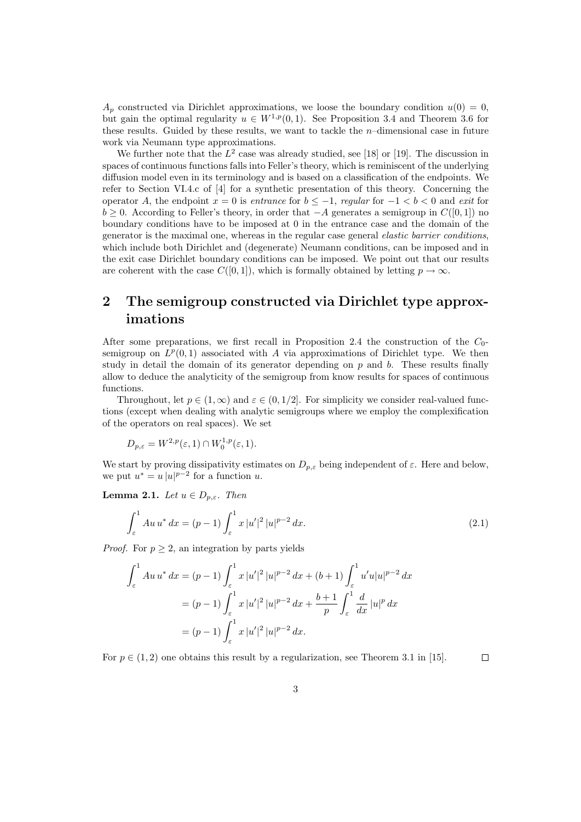$A_p$  constructed via Dirichlet approximations, we loose the boundary condition  $u(0) = 0$ , but gain the optimal regularity  $u \in W^{1,p}(0,1)$ . See Proposition 3.4 and Theorem 3.6 for these results. Guided by these results, we want to tackle the  $n$ -dimensional case in future work via Neumann type approximations.

We further note that the  $L^2$  case was already studied, see [18] or [19]. The discussion in spaces of continuous functions falls into Feller's theory, which is reminiscent of the underlying diffusion model even in its terminology and is based on a classification of the endpoints. We refer to Section VI.4.c of [4] for a synthetic presentation of this theory. Concerning the operator A, the endpoint  $x = 0$  is entrance for  $b \le -1$ , regular for  $-1 < b < 0$  and exit for  $b > 0$ . According to Feller's theory, in order that  $-A$  generates a semigroup in  $C([0, 1])$  no boundary conditions have to be imposed at 0 in the entrance case and the domain of the generator is the maximal one, whereas in the regular case general elastic barrier conditions, which include both Dirichlet and (degenerate) Neumann conditions, can be imposed and in the exit case Dirichlet boundary conditions can be imposed. We point out that our results are coherent with the case  $C([0, 1])$ , which is formally obtained by letting  $p \to \infty$ .

## 2 The semigroup constructed via Dirichlet type approximations

After some preparations, we first recall in Proposition 2.4 the construction of the  $C_0$ semigroup on  $L^p(0,1)$  associated with A via approximations of Dirichlet type. We then study in detail the domain of its generator depending on  $p$  and  $b$ . These results finally allow to deduce the analyticity of the semigroup from know results for spaces of continuous functions.

Throughout, let  $p \in (1,\infty)$  and  $\varepsilon \in (0,1/2]$ . For simplicity we consider real-valued functions (except when dealing with analytic semigroups where we employ the complexification of the operators on real spaces). We set

$$
D_{p,\varepsilon} = W^{2,p}(\varepsilon,1) \cap W_0^{1,p}(\varepsilon,1).
$$

We start by proving dissipativity estimates on  $D_{p,\varepsilon}$  being independent of  $\varepsilon$ . Here and below, we put  $u^* = u |u|^{p-2}$  for a function u.

Lemma 2.1. Let  $u \in D_{p,\varepsilon}$ . Then

$$
\int_{\varepsilon}^{1} Au u^* dx = (p - 1) \int_{\varepsilon}^{1} x |u'|^2 |u|^{p-2} dx.
$$
 (2.1)

*Proof.* For  $p \geq 2$ , an integration by parts yields

$$
\int_{\varepsilon}^{1} Au u^{*} dx = (p - 1) \int_{\varepsilon}^{1} x |u'|^{2} |u|^{p-2} dx + (b + 1) \int_{\varepsilon}^{1} u' u |u|^{p-2} dx
$$

$$
= (p - 1) \int_{\varepsilon}^{1} x |u'|^{2} |u|^{p-2} dx + \frac{b + 1}{p} \int_{\varepsilon}^{1} \frac{d}{dx} |u|^{p} dx
$$

$$
= (p - 1) \int_{\varepsilon}^{1} x |u'|^{2} |u|^{p-2} dx.
$$

For  $p \in (1, 2)$  one obtains this result by a regularization, see Theorem 3.1 in [15].  $\Box$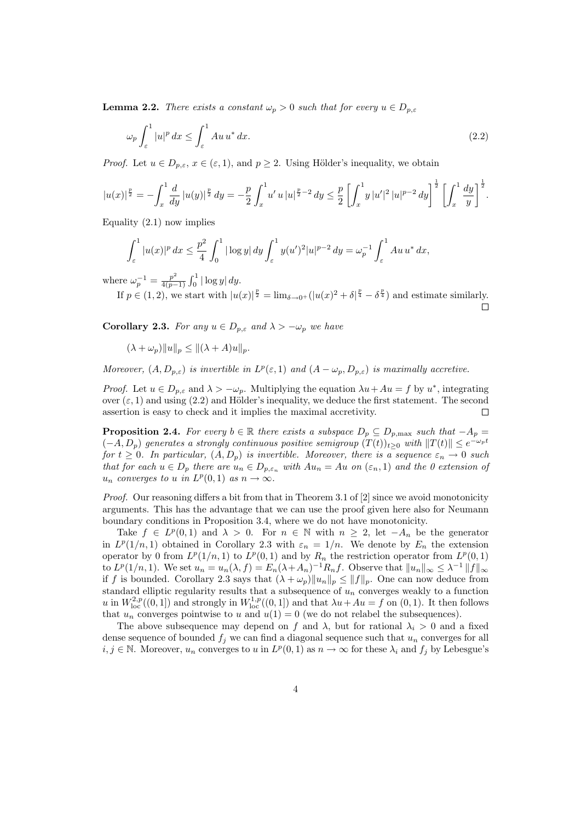**Lemma 2.2.** There exists a constant  $\omega_p > 0$  such that for every  $u \in D_{p,\varepsilon}$ 

$$
\omega_p \int_{\varepsilon}^1 |u|^p \, dx \le \int_{\varepsilon}^1 Au \, u^* \, dx. \tag{2.2}
$$

*Proof.* Let  $u \in D_{p,\varepsilon}$ ,  $x \in (\varepsilon,1)$ , and  $p \geq 2$ . Using Hölder's inequality, we obtain

$$
|u(x)|^{\frac{p}{2}} = -\int_x^1 \frac{d}{dy} |u(y)|^{\frac{p}{2}} dy = -\frac{p}{2} \int_x^1 u' u |u|^{\frac{p}{2}-2} dy \le \frac{p}{2} \left[ \int_x^1 y |u'|^2 |u|^{p-2} dy \right]^{\frac{1}{2}} \left[ \int_x^1 \frac{dy}{y} \right]^{\frac{1}{2}}.
$$

Equality  $(2.1)$  now implies

$$
\int_{\varepsilon}^{1} |u(x)|^p \, dx \le \frac{p^2}{4} \int_0^1 |\log y| \, dy \int_{\varepsilon}^1 y(u')^2 |u|^{p-2} \, dy = \omega_p^{-1} \int_{\varepsilon}^1 Au \, u^* \, dx,
$$

where  $\omega_p^{-1} = \frac{p^2}{4(p-1)}$  $\frac{p^2}{4(p-1)} \int_0^1 |\log y| \, dy.$ 

If  $p \in (1, 2)$ , we start with  $|u(x)|^{\frac{p}{2}} = \lim_{\delta \to 0^+} (|u(x)|^2 + \delta|^{\frac{p}{4}} - \delta^{\frac{p}{4}})$  and estimate similarly.

**Corollary 2.3.** For any  $u \in D_{p,\varepsilon}$  and  $\lambda > -\omega_p$  we have

$$
(\lambda + \omega_p) \|u\|_p \le \|(\lambda + A)u\|_p.
$$

Moreover,  $(A, D_{p,\varepsilon})$  is invertible in  $L^p(\varepsilon, 1)$  and  $(A - \omega_p, D_{p,\varepsilon})$  is maximally accretive.

*Proof.* Let  $u \in D_{p,\varepsilon}$  and  $\lambda > -\omega_p$ . Multiplying the equation  $\lambda u + Au = f$  by  $u^*$ , integrating over  $(\varepsilon, 1)$  and using (2.2) and Hölder's inequality, we deduce the first statement. The second assertion is easy to check and it implies the maximal accretivity.  $\Box$ 

**Proposition 2.4.** For every  $b \in \mathbb{R}$  there exists a subspace  $D_p \subseteq D_{p,\text{max}}$  such that  $-A_p =$  $(-A, D_p)$  generates a strongly continuous positive semigroup  $(T(t))_{t\geq 0}$  with  $||T(t)|| \leq e^{-\omega_p t}$ for  $t \geq 0$ . In particular,  $(A, D_p)$  is invertible. Moreover, there is a sequence  $\varepsilon_n \to 0$  such that for each  $u \in D_p$  there are  $u_n \in D_{p,\varepsilon_n}$  with  $Au_n = Au$  on  $(\varepsilon_n, 1)$  and the 0 extension of  $u_n$  converges to u in  $L^p(0,1)$  as  $n \to \infty$ .

*Proof.* Our reasoning differs a bit from that in Theorem 3.1 of [2] since we avoid monotonicity arguments. This has the advantage that we can use the proof given here also for Neumann boundary conditions in Proposition 3.4, where we do not have monotonicity.

Take  $f \in L^p(0,1)$  and  $\lambda > 0$ . For  $n \in \mathbb{N}$  with  $n \geq 2$ , let  $-A_n$  be the generator in  $L^p(1/n, 1)$  obtained in Corollary 2.3 with  $\varepsilon_n = 1/n$ . We denote by  $E_n$  the extension operator by 0 from  $L^p(1/n,1)$  to  $L^p(0,1)$  and by  $R_n$  the restriction operator from  $L^p(0,1)$ to  $L^p(1/n, 1)$ . We set  $u_n = u_n(\lambda, f) = E_n(\lambda + A_n)^{-1} R_n f$ . Observe that  $||u_n||_{\infty} \leq \lambda^{-1} ||f||_{\infty}$ if f is bounded. Corollary 2.3 says that  $(\lambda + \omega_p) \|u_n\|_p \leq \|f\|_p$ . One can now deduce from standard elliptic regularity results that a subsequence of  $u_n$  converges weakly to a function u in  $W^{2,p}_{loc}((0,1])$  and strongly in  $W^{1,p}_{loc}((0,1])$  and that  $\lambda u + Au = f$  on  $(0,1)$ . It then follows that  $u_n$  converges pointwise to u and  $u(1) = 0$  (we do not relabel the subsequences).

The above subsequence may depend on f and  $\lambda$ , but for rational  $\lambda_i > 0$  and a fixed dense sequence of bounded  $f_i$  we can find a diagonal sequence such that  $u_n$  converges for all  $i, j \in \mathbb{N}$ . Moreover,  $u_n$  converges to u in  $L^p(0,1)$  as  $n \to \infty$  for these  $\lambda_i$  and  $f_j$  by Lebesgue's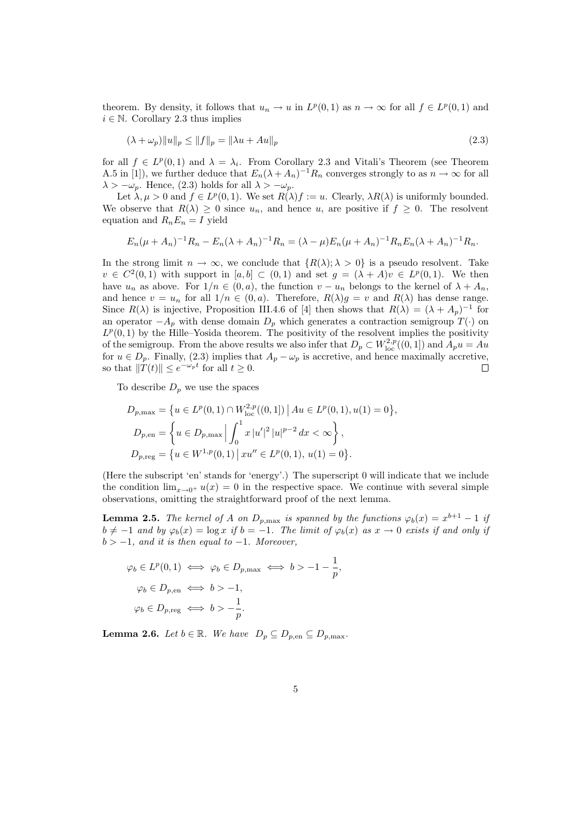theorem. By density, it follows that  $u_n \to u$  in  $L^p(0,1)$  as  $n \to \infty$  for all  $f \in L^p(0,1)$  and  $i \in \mathbb{N}$ . Corollary 2.3 thus implies

$$
(\lambda + \omega_p) \|u\|_p \le \|f\|_p = \|\lambda u + Au\|_p \tag{2.3}
$$

for all  $f \in L^p(0,1)$  and  $\lambda = \lambda_i$ . From Corollary 2.3 and Vitali's Theorem (see Theorem A.5 in [1]), we further deduce that  $E_n(\lambda + A_n)^{-1}R_n$  converges strongly to as  $n \to \infty$  for all  $\lambda > -\omega_p$ . Hence, (2.3) holds for all  $\lambda > -\omega_p$ .

Let  $\lambda, \mu > 0$  and  $f \in L^p(0,1)$ . We set  $R(\lambda)f := u$ . Clearly,  $\lambda R(\lambda)$  is uniformly bounded. We observe that  $R(\lambda) \geq 0$  since  $u_n$ , and hence u, are positive if  $f \geq 0$ . The resolvent equation and  $R_nE_n = I$  yield

$$
E_n(\mu + A_n)^{-1}R_n - E_n(\lambda + A_n)^{-1}R_n = (\lambda - \mu)E_n(\mu + A_n)^{-1}R_nE_n(\lambda + A_n)^{-1}R_n.
$$

In the strong limit  $n \to \infty$ , we conclude that  $\{R(\lambda); \lambda > 0\}$  is a pseudo resolvent. Take  $v \in C^2(0,1)$  with support in  $[a,b] \subset (0,1)$  and set  $g = (\lambda + A)v \in L^p(0,1)$ . We then have  $u_n$  as above. For  $1/n \in (0, a)$ , the function  $v - u_n$  belongs to the kernel of  $\lambda + A_n$ , and hence  $v = u_n$  for all  $1/n \in (0, a)$ . Therefore,  $R(\lambda)g = v$  and  $R(\lambda)$  has dense range. Since  $R(\lambda)$  is injective, Proposition III.4.6 of [4] then shows that  $R(\lambda) = (\lambda + A_p)^{-1}$  for an operator  $-A_p$  with dense domain  $D_p$  which generates a contraction semigroup  $T(\cdot)$  on  $L^p(0,1)$  by the Hille–Yosida theorem. The positivity of the resolvent implies the positivity of the semigroup. From the above results we also infer that  $D_p \subset W^{2,p}_{loc}((0,1])$  and  $A_p u = Au$ for  $u \in D_p$ . Finally, (2.3) implies that  $A_p - \omega_p$  is accretive, and hence maximally accretive, so that  $\|\tilde{T}(t)\| \leq e^{-\omega_p t}$  for all  $t \geq 0$ .  $\Box$ 

To describe  $D_p$  we use the spaces

$$
D_{p,\max} = \{ u \in L^p(0,1) \cap W_{\text{loc}}^{2,p}((0,1]) \mid Au \in L^p(0,1), u(1) = 0 \},
$$
  
\n
$$
D_{p,\text{en}} = \left\{ u \in D_{p,\max} \middle| \int_0^1 x |u'|^2 |u|^{p-2} dx < \infty \right\},
$$
  
\n
$$
D_{p,\text{reg}} = \left\{ u \in W^{1,p}(0,1) \middle| xu'' \in L^p(0,1), u(1) = 0 \right\}.
$$

(Here the subscript 'en' stands for 'energy'.) The superscript 0 will indicate that we include the condition  $\lim_{x\to 0^+} u(x) = 0$  in the respective space. We continue with several simple observations, omitting the straightforward proof of the next lemma.

**Lemma 2.5.** The kernel of A on  $D_{p,\text{max}}$  is spanned by the functions  $\varphi_b(x) = x^{b+1} - 1$  if  $b \neq -1$  and by  $\varphi_b(x) = \log x$  if  $b = -1$ . The limit of  $\varphi_b(x)$  as  $x \to 0$  exists if and only if  $b > -1$ , and it is then equal to -1. Moreover,

$$
\varphi_b \in L^p(0,1) \iff \varphi_b \in D_{p,\max} \iff b > -1 - \frac{1}{p},
$$
  

$$
\varphi_b \in D_{p,\text{en}} \iff b > -1,
$$
  

$$
\varphi_b \in D_{p,\text{reg}} \iff b > -\frac{1}{p}.
$$

**Lemma 2.6.** Let  $b \in \mathbb{R}$ . We have  $D_p \subseteq D_{p,\text{en}} \subseteq D_{p,\text{max}}$ .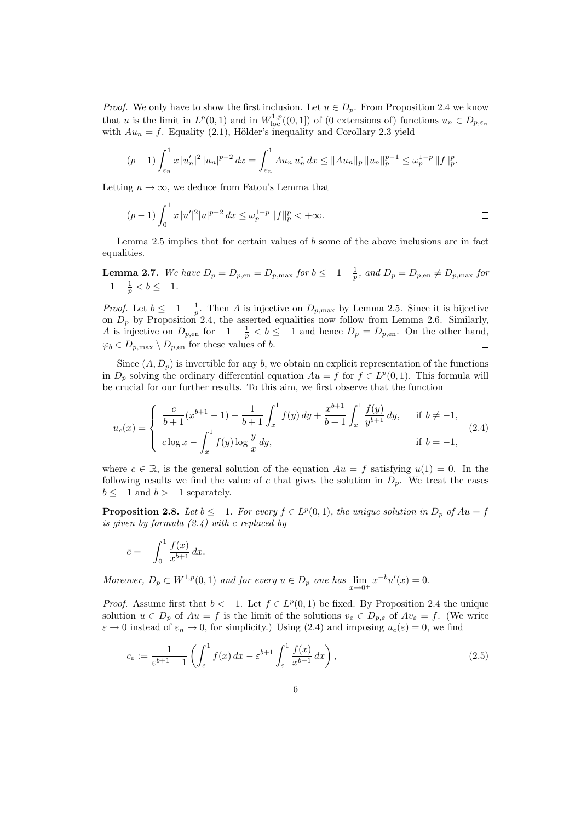*Proof.* We only have to show the first inclusion. Let  $u \in D_p$ . From Proposition 2.4 we know that u is the limit in  $L^p(0,1)$  and in  $W^{1,p}_{loc}((0,1])$  of (0 extensions of) functions  $u_n \in D_{p,\varepsilon_n}$ with  $Au_n = f$ . Equality (2.1), Hölder's inequality and Corollary 2.3 yield

$$
(p-1)\int_{\varepsilon_n}^1 x |u_n'|^2 |u_n|^{p-2} dx = \int_{\varepsilon_n}^1 A u_n u_n^* dx \le ||Au_n||_p ||u_n||_p^{p-1} \le \omega_p^{1-p} ||f||_p^p.
$$

Letting  $n \to \infty$ , we deduce from Fatou's Lemma that

$$
(p-1)\int_0^1 x |u'|^2 |u|^{p-2} dx \leq \omega_p^{1-p} ||f||_p^p < +\infty.
$$

Lemma 2.5 implies that for certain values of  $b$  some of the above inclusions are in fact equalities.

**Lemma 2.7.** We have 
$$
D_p = D_{p,\text{en}} = D_{p,\text{max}}
$$
 for  $b \leq -1 - \frac{1}{p}$ , and  $D_p = D_{p,\text{en}} \neq D_{p,\text{max}}$  for  $-1 - \frac{1}{p} < b \leq -1$ .

*Proof.* Let  $b \le -1 - \frac{1}{p}$ . Then A is injective on  $D_{p,\text{max}}$  by Lemma 2.5. Since it is bijective on  $D_p$  by Proposition 2.4, the asserted equalities now follow from Lemma 2.6. Similarly, A is injective on  $D_{p,\text{en}}$  for  $-1-\frac{1}{p} < b \leq -1$  and hence  $D_p = D_{p,\text{en}}$ . On the other hand,  $\varphi_b \in D_{p,\text{max}} \setminus D_{p,\text{en}}$  for these values of b.  $\Box$ 

Since  $(A, D_p)$  is invertible for any b, we obtain an explicit representation of the functions in  $D_p$  solving the ordinary differential equation  $Au = f$  for  $f \in L^p(0,1)$ . This formula will be crucial for our further results. To this aim, we first observe that the function

$$
u_c(x) = \begin{cases} \frac{c}{b+1}(x^{b+1} - 1) - \frac{1}{b+1} \int_x^1 f(y) \, dy + \frac{x^{b+1}}{b+1} \int_x^1 \frac{f(y)}{y^{b+1}} \, dy, & \text{if } b \neq -1, \\ c \log x - \int_x^1 f(y) \log \frac{y}{x} \, dy, & \text{if } b = -1, \end{cases} \tag{2.4}
$$

where  $c \in \mathbb{R}$ , is the general solution of the equation  $Au = f$  satisfying  $u(1) = 0$ . In the following results we find the value of c that gives the solution in  $D_p$ . We treat the cases  $b \leq -1$  and  $b > -1$  separately.

**Proposition 2.8.** Let  $b \leq -1$ . For every  $f \in L^p(0,1)$ , the unique solution in  $D_p$  of  $Au = f$ is given by formula  $(2.4)$  with c replaced by

$$
\bar{c} = -\int_0^1 \frac{f(x)}{x^{b+1}} dx.
$$

Moreover,  $D_p \subset W^{1,p}(0,1)$  and for every  $u \in D_p$  one has  $\lim_{x \to 0^+} x^{-b} u'(x) = 0$ .

*Proof.* Assume first that  $b < -1$ . Let  $f \in L^p(0,1)$  be fixed. By Proposition 2.4 the unique solution  $u \in D_p$  of  $Au = f$  is the limit of the solutions  $v_{\varepsilon} \in D_{p,\varepsilon}$  of  $Av_{\varepsilon} = f$ . (We write  $\varepsilon \to 0$  instead of  $\varepsilon_n \to 0$ , for simplicity.) Using (2.4) and imposing  $u_c(\varepsilon) = 0$ , we find

$$
c_{\varepsilon} := \frac{1}{\varepsilon^{b+1} - 1} \left( \int_{\varepsilon}^{1} f(x) \, dx - \varepsilon^{b+1} \int_{\varepsilon}^{1} \frac{f(x)}{x^{b+1}} \, dx \right),\tag{2.5}
$$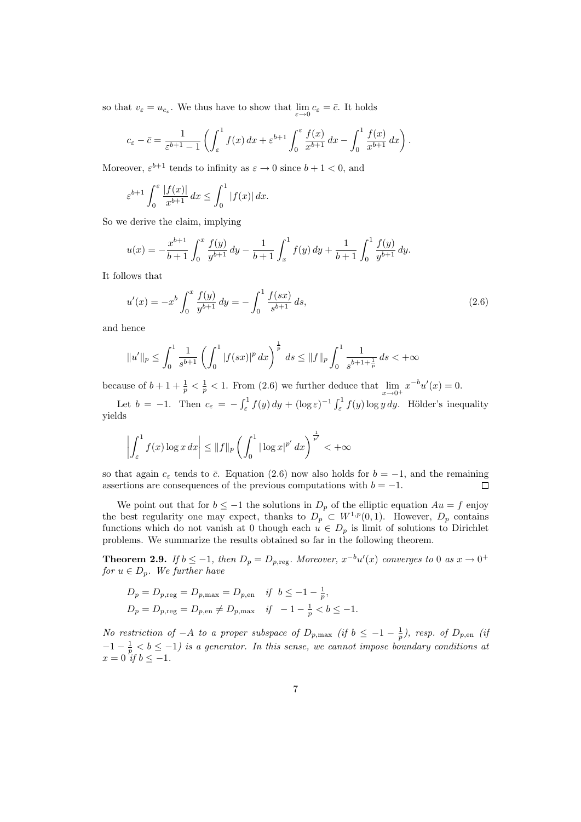so that  $v_{\varepsilon} = u_{c_{\varepsilon}}$ . We thus have to show that  $\lim_{\varepsilon \to 0} c_{\varepsilon} = \overline{c}$ . It holds

$$
c_{\varepsilon} - \bar{c} = \frac{1}{\varepsilon^{b+1} - 1} \left( \int_{\varepsilon}^{1} f(x) \, dx + \varepsilon^{b+1} \int_{0}^{\varepsilon} \frac{f(x)}{x^{b+1}} \, dx - \int_{0}^{1} \frac{f(x)}{x^{b+1}} \, dx \right).
$$

Moreover,  $\varepsilon^{b+1}$  tends to infinity as  $\varepsilon \to 0$  since  $b+1 < 0$ , and

$$
\varepsilon^{b+1} \int_0^\varepsilon \frac{|f(x)|}{x^{b+1}} dx \le \int_0^1 |f(x)| dx.
$$

So we derive the claim, implying

$$
u(x) = -\frac{x^{b+1}}{b+1} \int_0^x \frac{f(y)}{y^{b+1}} dy - \frac{1}{b+1} \int_x^1 f(y) dy + \frac{1}{b+1} \int_0^1 \frac{f(y)}{y^{b+1}} dy.
$$

It follows that

$$
u'(x) = -x^b \int_0^x \frac{f(y)}{y^{b+1}} dy = -\int_0^1 \frac{f(sx)}{s^{b+1}} ds,
$$
\n(2.6)

and hence

$$
||u'||_p \le \int_0^1 \frac{1}{s^{b+1}} \left( \int_0^1 |f(sx)|^p \, dx \right)^{\frac{1}{p}} \, ds \le ||f||_p \int_0^1 \frac{1}{s^{b+1+\frac{1}{p}}} \, ds < +\infty
$$

because of  $b+1+\frac{1}{p} < \frac{1}{p} < 1$ . From (2.6) we further deduce that  $\lim_{x\to 0^+} x^{-b}u'(x) = 0$ .

Let  $b = -1$ . Then  $c_{\varepsilon} = -\int_{\varepsilon}^{1} f(y) dy + (\log \varepsilon)^{-1} \int_{\varepsilon}^{1} f(y) \log y dy$ . Hölder's inequality yields

$$
\left| \int_{\varepsilon}^{1} f(x) \log x \, dx \right| \leq \|f\|_{p} \left( \int_{0}^{1} |\log x|^{p'} \, dx \right)^{\frac{1}{p'}} < +\infty
$$

so that again  $c_{\varepsilon}$  tends to  $\bar{c}$ . Equation (2.6) now also holds for  $b = -1$ , and the remaining assertions are consequences of the previous computations with  $b = -1$ .  $\Box$ 

We point out that for  $b \le -1$  the solutions in  $D_p$  of the elliptic equation  $Au = f$  enjoy the best regularity one may expect, thanks to  $D_p \subset W^{1,p}(0,1)$ . However,  $D_p$  contains functions which do not vanish at 0 though each  $u \in D_p$  is limit of solutions to Dirichlet problems. We summarize the results obtained so far in the following theorem.

**Theorem 2.9.** If  $b \leq -1$ , then  $D_p = D_{p,\text{reg}}$ . Moreover,  $x^{-b}u'(x)$  converges to 0 as  $x \to 0^+$ for  $u \in D_p$ . We further have

$$
D_p = D_{p,\text{reg}} = D_{p,\text{max}} = D_{p,\text{en}} \quad \text{if} \quad b \le -1 - \frac{1}{p},
$$
  

$$
D_p = D_{p,\text{reg}} = D_{p,\text{en}} \ne D_{p,\text{max}} \quad \text{if} \quad -1 - \frac{1}{p} < b \le -1.
$$

No restriction of  $-A$  to a proper subspace of  $D_{p,\text{max}}$  (if  $b \le -1-\frac{1}{p}$ ), resp. of  $D_{p,\text{en}}$  (if  $-1-\frac{1}{p} < b \leq -1$ ) is a generator. In this sense, we cannot impose boundary conditions at  $x = 0$  if  $b \le -1$ .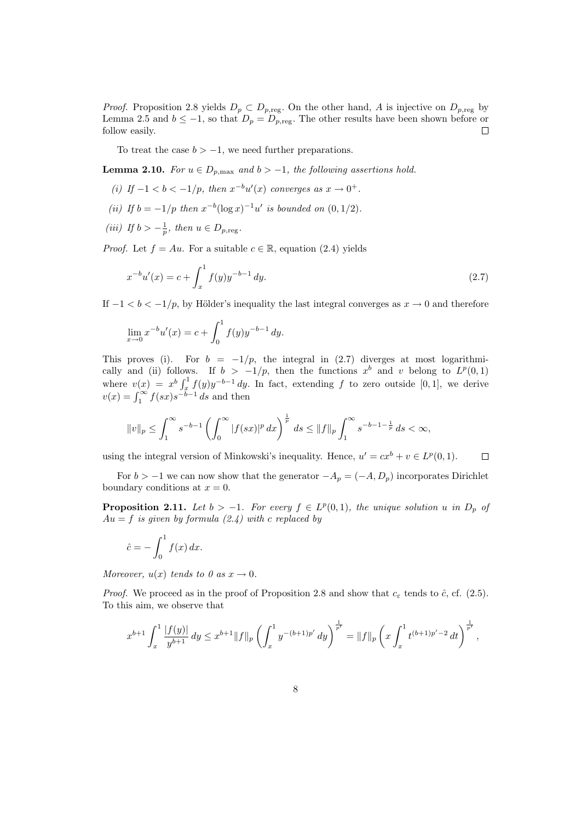*Proof.* Proposition 2.8 yields  $D_p \subset D_{p,\text{reg}}$ . On the other hand, A is injective on  $D_{p,\text{reg}}$  by Lemma 2.5 and  $b \le -1$ , so that  $D_p = D_{p,\text{reg}}$ . The other results have been shown before or follow easily.  $\Box$ 

To treat the case  $b > -1$ , we need further preparations.

**Lemma 2.10.** For  $u \in D_{p,\text{max}}$  and  $b > -1$ , the following assertions hold.

- (i) If  $-1 < b < -1/p$ , then  $x^{-b}u'(x)$  converges as  $x \to 0^+$ .
- (ii) If  $b = -1/p$  then  $x^{-b}(\log x)^{-1}u'$  is bounded on  $(0, 1/2)$ .
- (iii) If  $b > -\frac{1}{p}$ , then  $u \in D_{p,\text{reg}}$ .

*Proof.* Let  $f = Au$ . For a suitable  $c \in \mathbb{R}$ , equation (2.4) yields

$$
x^{-b}u'(x) = c + \int_{x}^{1} f(y)y^{-b-1} dy.
$$
\n(2.7)

If  $-1 < b < -1/p$ , by Hölder's inequality the last integral converges as  $x \to 0$  and therefore

$$
\lim_{x \to 0} x^{-b} u'(x) = c + \int_0^1 f(y) y^{-b-1} dy.
$$

This proves (i). For  $b = -1/p$ , the integral in (2.7) diverges at most logarithmically and (ii) follows. If  $b > -1/p$ , then the functions  $x^b$  and v belong to  $L^p(0,1)$ where  $v(x) = x^{b} \int_{x}^{1} f(y) y^{-b-1} dy$ . In fact, extending f to zero outside [0, 1], we derive  $v(x) = \int_1^\infty f(sx) s^{-b-1} ds$  and then

$$
||v||_p \le \int_1^\infty s^{-b-1} \left( \int_0^\infty |f(sx)|^p \, dx \right)^{\frac{1}{p}} \, ds \le ||f||_p \int_1^\infty s^{-b-1-\frac{1}{p}} \, ds < \infty,
$$

using the integral version of Minkowski's inequality. Hence,  $u' = cx^b + v \in L^p(0, 1)$ .  $\Box$ 

For  $b > -1$  we can now show that the generator  $-A_p = (-A, D_p)$  incorporates Dirichlet boundary conditions at  $x = 0$ .

**Proposition 2.11.** Let  $b > -1$ . For every  $f \in L^p(0,1)$ , the unique solution u in  $D_p$  of  $Au = f$  is given by formula (2.4) with c replaced by

$$
\hat{c} = -\int_0^1 f(x) \, dx.
$$

Moreover,  $u(x)$  tends to 0 as  $x \to 0$ .

*Proof.* We proceed as in the proof of Proposition 2.8 and show that  $c_{\varepsilon}$  tends to  $\hat{c}$ , cf. (2.5). To this aim, we observe that

$$
x^{b+1} \int_x^1 \frac{|f(y)|}{y^{b+1}} dy \leq x^{b+1} ||f||_p \left( \int_x^1 y^{-(b+1)p'} dy \right)^{\frac{1}{p'}} = ||f||_p \left( x \int_x^1 t^{(b+1)p'-2} dt \right)^{\frac{1}{p'}} ,
$$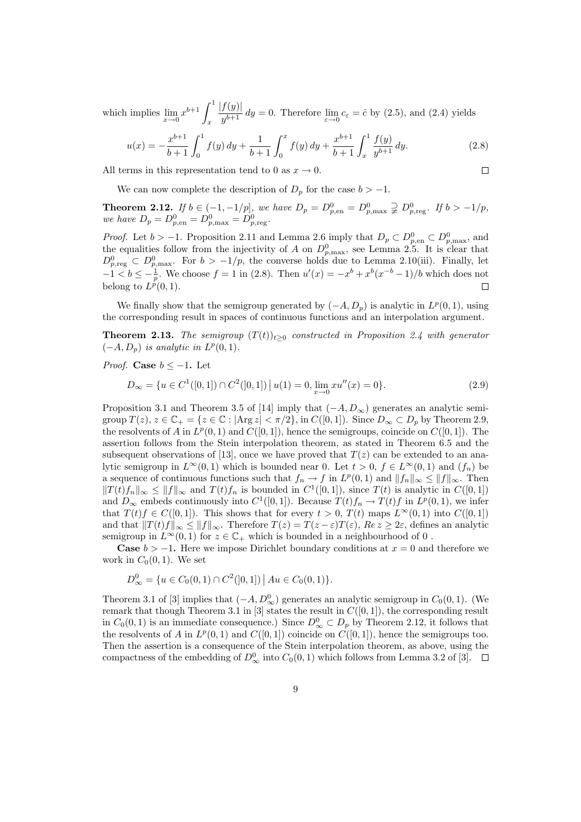which implies  $\lim_{x\to 0} x^{b+1} \int_x^1$ x  $|f(y)|$  $\int \frac{f(y)}{y^{b+1}} dy = 0$ . Therefore  $\lim_{\varepsilon \to 0} c_{\varepsilon} = \hat{c}$  by (2.5), and (2.4) yields

$$
u(x) = -\frac{x^{b+1}}{b+1} \int_0^1 f(y) \, dy + \frac{1}{b+1} \int_0^x f(y) \, dy + \frac{x^{b+1}}{b+1} \int_x^1 \frac{f(y)}{y^{b+1}} \, dy. \tag{2.8}
$$

All terms in this representation tend to 0 as  $x \to 0$ .

 $\Box$ 

We can now complete the description of  $D_p$  for the case  $b > -1$ .

**Theorem 2.12.** If  $b \in (-1, -1/p]$ , we have  $D_p = D_{p,\text{en}}^0 = D_{p,\text{max}}^0 \supsetneq D_{p,\text{reg}}^0$ . If  $b > -1/p$ , we have  $D_p = D_{p,\text{en}}^0 = D_{p,\text{max}}^0 = D_{p,\text{reg}}^0$ .

*Proof.* Let  $b > -1$ . Proposition 2.11 and Lemma 2.6 imply that  $D_p \subset D_{p,\text{en}}^0 \subset D_{p,\text{max}}^0$ , and the equalities follow from the injectivity of A on  $D_{p,\text{max}}^0$ , see Lemma 2.5. It is clear that  $D_{p,\text{reg}}^0 \subset D_{p,\text{max}}^0$ . For  $b > -1/p$ , the converse holds due to Lemma 2.10(iii). Finally, let  $-1 < b \leq -\frac{1}{p}$ . We choose  $f = 1$  in (2.8). Then  $u'(x) = -x^b + x^b(x^{-b} - 1)/b$  which does not belong to  $L^{\hat{p}}(0,1)$ .  $\Box$ 

We finally show that the semigroup generated by  $(-A, D_p)$  is analytic in  $L^p(0,1)$ , using the corresponding result in spaces of continuous functions and an interpolation argument.

**Theorem 2.13.** The semigroup  $(T(t))_{t>0}$  constructed in Proposition 2.4 with generator  $(-A, D_p)$  is analytic in  $L^p(0, 1)$ .

*Proof.* Case  $b < -1$ . Let

$$
D_{\infty} = \{ u \in C^{1}([0, 1]) \cap C^{2}([0, 1]) \, \big| \, u(1) = 0, \lim_{x \to 0} x u''(x) = 0 \}. \tag{2.9}
$$

Proposition 3.1 and Theorem 3.5 of [14] imply that  $(-A, D_{\infty})$  generates an analytic semigroup  $T(z)$ ,  $z \in \mathbb{C}_+ = \{z \in \mathbb{C} : |\text{Arg } z| < \pi/2\}$ , in  $C([0, 1])$ . Since  $D_\infty \subset D_p$  by Theorem 2.9, the resolvents of A in  $L^p(0,1)$  and  $C([0,1])$ , hence the semigroups, coincide on  $C([0,1])$ . The assertion follows from the Stein interpolation theorem, as stated in Theorem 6.5 and the subsequent observations of [13], once we have proved that  $T(z)$  can be extended to an analytic semigroup in  $L^{\infty}(0, 1)$  which is bounded near 0. Let  $t > 0$ ,  $f \in L^{\infty}(0, 1)$  and  $(f_n)$  be a sequence of continuous functions such that  $f_n \to f$  in  $L^p(0,1)$  and  $||f_n||_{\infty} \le ||f||_{\infty}$ . Then  $||T(t)f_n||_{\infty} \le ||f||_{\infty}$  and  $T(t)f_n$  is bounded in  $C^1([0,1])$ , since  $T(t)$  is analytic in  $C([0,1])$ and  $D_{\infty}$  embeds continuously into  $C^{1}([0, 1])$ . Because  $T(t)f_n \to T(t)f$  in  $L^{p}(0, 1)$ , we infer that  $T(t)f \in C([0,1])$ . This shows that for every  $t > 0$ ,  $T(t)$  maps  $L^{\infty}(0,1)$  into  $C([0,1])$ and that  $||T(t)f||_{\infty} \leq ||f||_{\infty}$ . Therefore  $T(z) = T(z - \varepsilon)T(\varepsilon)$ ,  $Re z \geq 2\varepsilon$ , defines an analytic semigroup in  $L^{\infty}(0, 1)$  for  $z \in \mathbb{C}_+$  which is bounded in a neighbourhood of 0.

**Case**  $b > -1$ . Here we impose Dirichlet boundary conditions at  $x = 0$  and therefore we work in  $C_0(0, 1)$ . We set

$$
D_{\infty}^{0} = \{ u \in C_{0}(0,1) \cap C^{2}(]0,1] \mid Au \in C_{0}(0,1) \}.
$$

Theorem 3.1 of [3] implies that  $(-A, D^0_{\infty})$  generates an analytic semigroup in  $C_0(0, 1)$ . (We remark that though Theorem 3.1 in [3] states the result in  $C([0,1])$ , the corresponding result in  $C_0(0,1)$  is an immediate consequence.) Since  $D_{\infty}^0 \subset D_p$  by Theorem 2.12, it follows that the resolvents of A in  $L^p(0,1)$  and  $C([0,1])$  coincide on  $C([0,1])$ , hence the semigroups too. Then the assertion is a consequence of the Stein interpolation theorem, as above, using the compactness of the embedding of  $D^0_{\infty}$  into  $C_0(0, 1)$  which follows from Lemma 3.2 of [3].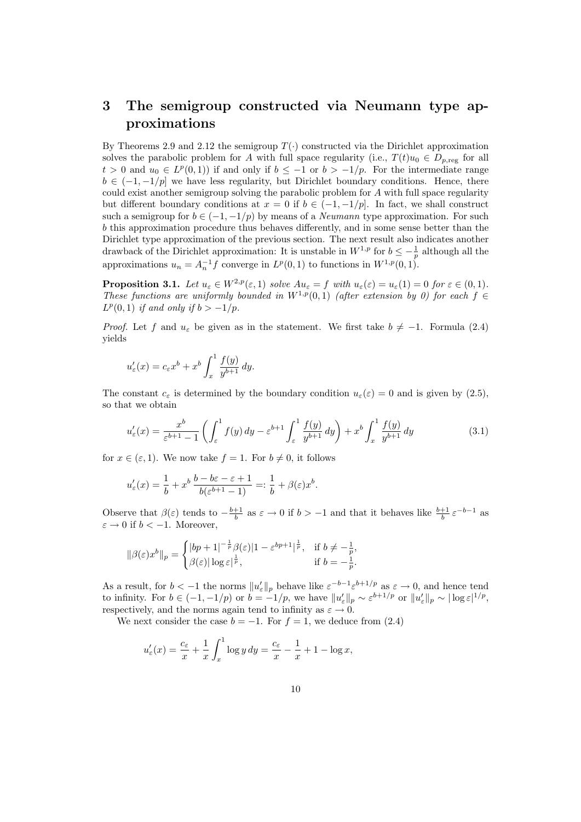## 3 The semigroup constructed via Neumann type approximations

By Theorems 2.9 and 2.12 the semigroup  $T(\cdot)$  constructed via the Dirichlet approximation solves the parabolic problem for A with full space regularity (i.e.,  $T(t)u_0 \in D_{p,\text{reg}}$  for all  $t > 0$  and  $u_0 \in L^p(0,1)$  if and only if  $b \leq -1$  or  $b > -1/p$ . For the intermediate range  $b \in (-1, -1/p]$  we have less regularity, but Dirichlet boundary conditions. Hence, there could exist another semigroup solving the parabolic problem for  $A$  with full space regularity but different boundary conditions at  $x = 0$  if  $b \in (-1, -1/p]$ . In fact, we shall construct such a semigroup for  $b \in (-1, -1/p)$  by means of a *Neumann* type approximation. For such b this approximation procedure thus behaves differently, and in some sense better than the Dirichlet type approximation of the previous section. The next result also indicates another drawback of the Dirichlet approximation: It is unstable in  $W^{1,p}$  for  $b \leq -\frac{1}{p}$  although all the approximations  $u_n = A_n^{-1} f$  converge in  $L^p(0,1)$  to functions in  $W^{1,p}(0,1)$ .

**Proposition 3.1.** Let  $u_{\varepsilon} \in W^{2,p}(\varepsilon, 1)$  solve  $Au_{\varepsilon} = f$  with  $u_{\varepsilon}(\varepsilon) = u_{\varepsilon}(1) = 0$  for  $\varepsilon \in (0,1)$ . These functions are uniformly bounded in  $W^{1,p}(0,1)$  (after extension by 0) for each  $f \in$  $L^p(0,1)$  if and only if  $b > -1/p$ .

*Proof.* Let f and  $u_{\varepsilon}$  be given as in the statement. We first take  $b \neq -1$ . Formula (2.4) yields

$$
u'_{\varepsilon}(x) = c_{\varepsilon}x^{b} + x^{b} \int_{x}^{1} \frac{f(y)}{y^{b+1}} dy.
$$

The constant  $c_{\varepsilon}$  is determined by the boundary condition  $u_{\varepsilon}(\varepsilon) = 0$  and is given by (2.5), so that we obtain

$$
u'_{\varepsilon}(x) = \frac{x^b}{\varepsilon^{b+1} - 1} \left( \int_{\varepsilon}^1 f(y) \, dy - \varepsilon^{b+1} \int_{\varepsilon}^1 \frac{f(y)}{y^{b+1}} \, dy \right) + x^b \int_x^1 \frac{f(y)}{y^{b+1}} \, dy \tag{3.1}
$$

for  $x \in (\varepsilon, 1)$ . We now take  $f = 1$ . For  $b \neq 0$ , it follows

$$
u'_{\varepsilon}(x) = \frac{1}{b} + x^b \, \frac{b - b\varepsilon - \varepsilon + 1}{b(\varepsilon^{b+1} - 1)} =: \frac{1}{b} + \beta(\varepsilon)x^b.
$$

Observe that  $\beta(\varepsilon)$  tends to  $-\frac{b+1}{b}$  as  $\varepsilon \to 0$  if  $b > -1$  and that it behaves like  $\frac{b+1}{b} \varepsilon^{-b-1}$  as  $\varepsilon \to 0$  if  $b < -1$ . Moreover,

$$
\|\beta(\varepsilon)x^b\|_p = \begin{cases} |bp+1|^{-\frac{1}{p}}\beta(\varepsilon)|1-\varepsilon^{bp+1}|^{\frac{1}{p}}, & \text{if } b \neq -\frac{1}{p}, \\ \beta(\varepsilon)|\log \varepsilon|^{\frac{1}{p}}, & \text{if } b = -\frac{1}{p}. \end{cases}
$$

As a result, for  $b < -1$  the norms  $||u'_{\varepsilon}||_p$  behave like  $\varepsilon^{-b-1} \varepsilon^{b+1/p}$  as  $\varepsilon \to 0$ , and hence tend to infinity. For  $b \in (-1, -1/p)$  or  $b = -1/p$ , we have  $||u'_{\varepsilon}||_p \sim \varepsilon^{b+1/p}$  or  $||u'_{\varepsilon}||_p \sim |\log \varepsilon|^{1/p}$ , respectively, and the norms again tend to infinity as  $\varepsilon \to 0$ .

We next consider the case  $b = -1$ . For  $f = 1$ , we deduce from (2.4)

$$
u'_{\varepsilon}(x) = \frac{c_{\varepsilon}}{x} + \frac{1}{x} \int_x^1 \log y \, dy = \frac{c_{\varepsilon}}{x} - \frac{1}{x} + 1 - \log x,
$$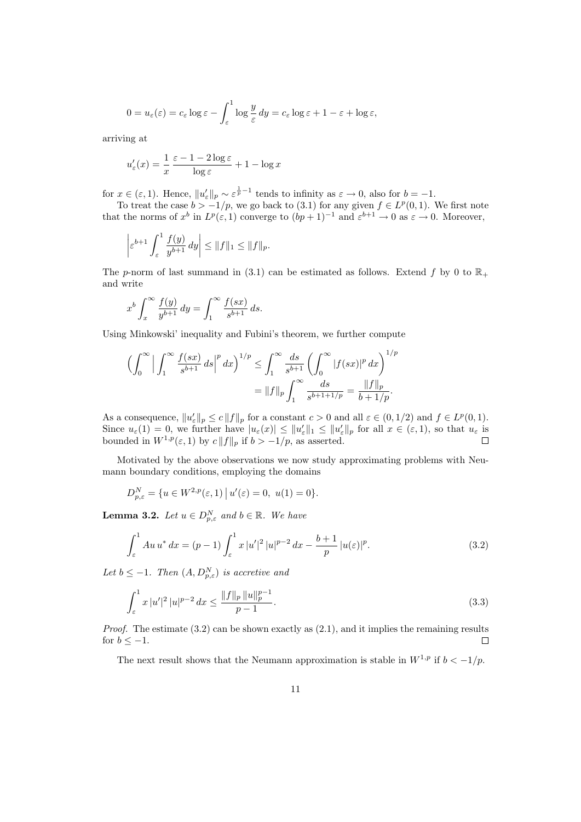$$
0 = u_{\varepsilon}(\varepsilon) = c_{\varepsilon} \log \varepsilon - \int_{\varepsilon}^{1} \log \frac{y}{\varepsilon} dy = c_{\varepsilon} \log \varepsilon + 1 - \varepsilon + \log \varepsilon,
$$

arriving at

$$
u'_{\varepsilon}(x) = \frac{1}{x} \frac{\varepsilon - 1 - 2\log \varepsilon}{\log \varepsilon} + 1 - \log x
$$

for  $x \in (\varepsilon, 1)$ . Hence,  $||u'_{\varepsilon}||_p \sim \varepsilon^{\frac{1}{p}-1}$  tends to infinity as  $\varepsilon \to 0$ , also for  $b = -1$ .

To treat the case  $b > -1/p$ , we go back to (3.1) for any given  $f \in L^p(0,1)$ . We first note that the norms of  $x^b$  in  $L^p(\varepsilon, 1)$  converge to  $(bp+1)^{-1}$  and  $\varepsilon^{b+1} \to 0$  as  $\varepsilon \to 0$ . Moreover,

$$
\left|\varepsilon^{b+1}\int_{\varepsilon}^1 \frac{f(y)}{y^{b+1}}\,dy\right|\leq \|f\|_1\leq \|f\|_p.
$$

The p-norm of last summand in (3.1) can be estimated as follows. Extend f by 0 to  $\mathbb{R}_+$ and write

$$
x^{b} \int_{x}^{\infty} \frac{f(y)}{y^{b+1}} dy = \int_{1}^{\infty} \frac{f(sx)}{s^{b+1}} ds.
$$

Using Minkowski' inequality and Fubini's theorem, we further compute

$$
\left(\int_0^\infty \Big|\int_1^\infty \frac{f(sx)}{s^{b+1}}\,ds\Big|^p\,dx\right)^{1/p} \le \int_1^\infty \frac{ds}{s^{b+1}}\left(\int_0^\infty |f(sx)|^p\,dx\right)^{1/p}
$$

$$
= \|f\|_p \int_1^\infty \frac{ds}{s^{b+1+1/p}} = \frac{\|f\|_p}{b+1/p}.
$$

As a consequence,  $||u'_\varepsilon||_p \leq c ||f||_p$  for a constant  $c > 0$  and all  $\varepsilon \in (0, 1/2)$  and  $f \in L^p(0, 1)$ . Since  $u_{\varepsilon}(1) = 0$ , we further have  $|u_{\varepsilon}(x)| \leq ||u_{\varepsilon}'||_1 \leq ||u_{\varepsilon}'||_p$  for all  $x \in (\varepsilon, 1)$ , so that  $u_{\varepsilon}$  is bounded in  $W^{1,p}(\varepsilon, 1)$  by  $c \|f\|_p$  if  $b > -1/p$ , as asserted.

Motivated by the above observations we now study approximating problems with Neumann boundary conditions, employing the domains

$$
D_{p,\varepsilon}^N = \{ u \in W^{2,p}(\varepsilon,1) \, \big| \, u'(\varepsilon) = 0, \ u(1) = 0 \}.
$$

**Lemma 3.2.** Let  $u \in D_{p,\varepsilon}^N$  and  $b \in \mathbb{R}$ . We have

$$
\int_{\varepsilon}^{1} Au u^* dx = (p-1) \int_{\varepsilon}^{1} x |u'|^2 |u|^{p-2} dx - \frac{b+1}{p} |u(\varepsilon)|^p.
$$
 (3.2)

Let  $b \leq -1$ . Then  $(A, D_{p,\varepsilon}^N)$  is accretive and

$$
\int_{\varepsilon}^{1} x \, |u'|^2 \, |u|^{p-2} \, dx \le \frac{\|f\|_p \, \|u\|_p^{p-1}}{p-1}.\tag{3.3}
$$

*Proof.* The estimate  $(3.2)$  can be shown exactly as  $(2.1)$ , and it implies the remaining results for  $b < -1$ .  $\Box$ 

The next result shows that the Neumann approximation is stable in  $W^{1,p}$  if  $b < -1/p$ .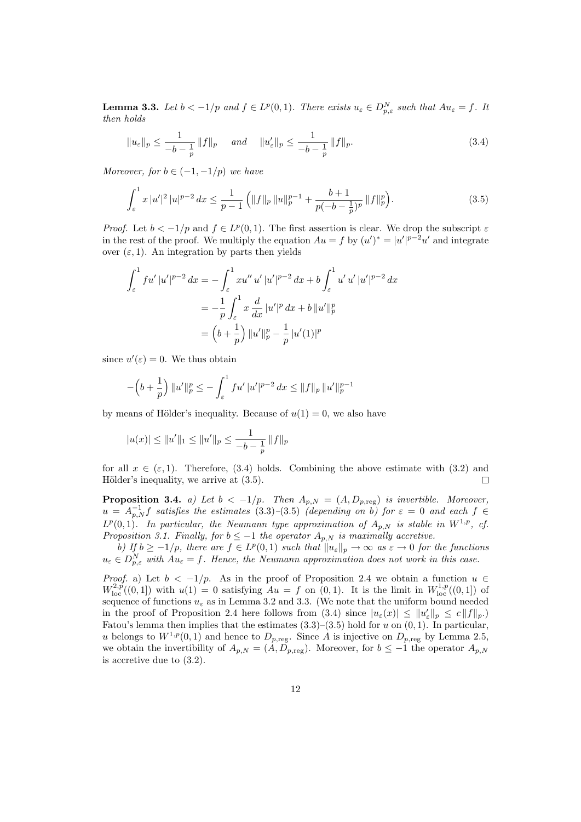**Lemma 3.3.** Let  $b < -1/p$  and  $f \in L^p(0,1)$ . There exists  $u_{\varepsilon} \in D_{p,\varepsilon}^N$  such that  $Au_{\varepsilon} = f$ . It then holds

$$
||u_{\varepsilon}||_{p} \le \frac{1}{-b-\frac{1}{p}} ||f||_{p} \quad \text{and} \quad ||u'_{\varepsilon}||_{p} \le \frac{1}{-b-\frac{1}{p}} ||f||_{p}.
$$
 (3.4)

Moreover, for  $b \in (-1, -1/p)$  we have

$$
\int_{\varepsilon}^{1} x |u'|^2 |u|^{p-2} dx \le \frac{1}{p-1} \left( \|f\|_p \|u\|_p^{p-1} + \frac{b+1}{p(-b-\frac{1}{p})^p} \|f\|_p^p \right). \tag{3.5}
$$

*Proof.* Let  $b < -1/p$  and  $f \in L^p(0,1)$ . The first assertion is clear. We drop the subscript  $\varepsilon$ in the rest of the proof. We multiply the equation  $Au = f$  by  $(u')^* = |u'|^{p-2}u'$  and integrate over  $(\varepsilon, 1)$ . An integration by parts then yields

$$
\int_{\varepsilon}^{1} f u' |u'|^{p-2} dx = -\int_{\varepsilon}^{1} x u'' |u'|^{p-2} dx + b \int_{\varepsilon}^{1} u' |u'|^{p-2} dx
$$

$$
= -\frac{1}{p} \int_{\varepsilon}^{1} x \frac{d}{dx} |u'|^{p} dx + b ||u'||_{p}^{p}
$$

$$
= (b + \frac{1}{p}) ||u'||_{p}^{p} - \frac{1}{p} |u'(1)|^{p}
$$

since  $u'(\varepsilon) = 0$ . We thus obtain

$$
-\left(b+\frac{1}{p}\right) \|u'\|_{p}^{p} \leq -\int_{\varepsilon}^{1} f u' |u'|^{p-2} dx \leq \|f\|_{p} \|u'\|_{p}^{p-1}
$$

by means of Hölder's inequality. Because of  $u(1) = 0$ , we also have

$$
|u(x)| \le ||u'||_1 \le ||u'||_p \le \frac{1}{-b - \frac{1}{p}} ||f||_p
$$

for all  $x \in (\varepsilon, 1)$ . Therefore, (3.4) holds. Combining the above estimate with (3.2) and Hölder's inequality, we arrive at  $(3.5)$ .  $\Box$ 

**Proposition 3.4.** a) Let  $b < -1/p$ . Then  $A_{p,N} = (A, D_{p,\text{reg}})$  is invertible. Moreover,  $u = A_{p,N}^{-1}f$  satisfies the estimates (3.3)–(3.5) (depending on b) for  $\varepsilon = 0$  and each  $f \in$  $L^p(0,1)$ . In particular, the Neumann type approximation of  $A_{p,N}$  is stable in  $W^{1,p}$ , cf. Proposition 3.1. Finally, for  $b \leq -1$  the operator  $A_{p,N}$  is maximally accretive.

b) If  $b \geq -1/p$ , there are  $f \in L^p(0,1)$  such that  $||u_{\varepsilon}||_p \to \infty$  as  $\varepsilon \to 0$  for the functions  $u_{\varepsilon} \in D_{p,\varepsilon}^N$  with  $Au_{\varepsilon} = f$ . Hence, the Neumann approximation does not work in this case.

*Proof.* a) Let  $b < -1/p$ . As in the proof of Proposition 2.4 we obtain a function  $u \in$  $W^{2,p}_{loc}((0,1])$  with  $u(1) = 0$  satisfying  $Au = f$  on  $(0,1)$ . It is the limit in  $W^{1,p}_{loc}((0,1])$  of sequence of functions  $u_{\varepsilon}$  as in Lemma 3.2 and 3.3. (We note that the uniform bound needed in the proof of Proposition 2.4 here follows from (3.4) since  $|u_{\varepsilon}(x)| \leq ||u_{\varepsilon}'||_p \leq c||f||_p$ . Fatou's lemma then implies that the estimates  $(3.3)$ – $(3.5)$  hold for u on  $(0, 1)$ . In particular, u belongs to  $W^{1,p}(0,1)$  and hence to  $D_{p,\text{reg}}$ . Since A is injective on  $D_{p,\text{reg}}$  by Lemma 2.5, we obtain the invertibility of  $A_{p,N} = (A, D_{p,\text{reg}})$ . Moreover, for  $b \leq -1$  the operator  $A_{p,N}$ is accretive due to (3.2).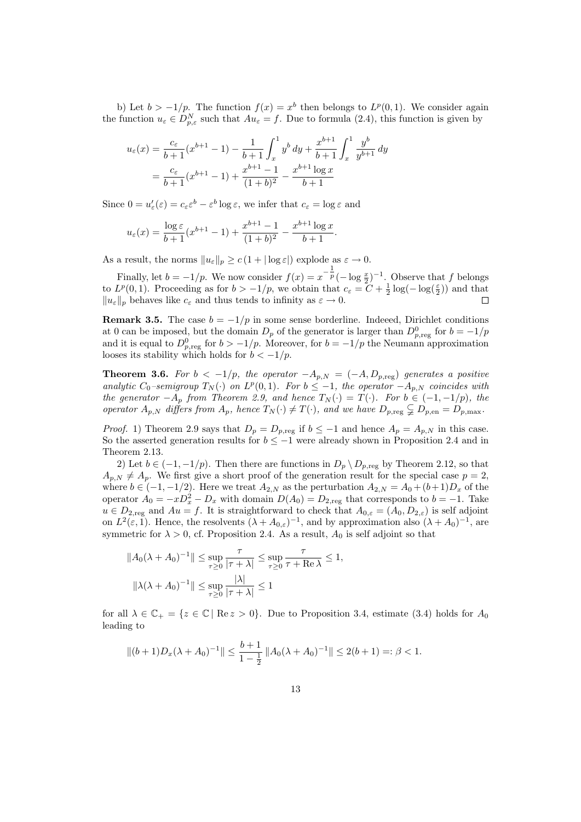b) Let  $b > -1/p$ . The function  $f(x) = x^b$  then belongs to  $L^p(0,1)$ . We consider again the function  $u_{\varepsilon} \in D_{p,\varepsilon}^N$  such that  $Au_{\varepsilon} = f$ . Due to formula (2.4), this function is given by

$$
u_{\varepsilon}(x) = \frac{c_{\varepsilon}}{b+1}(x^{b+1} - 1) - \frac{1}{b+1} \int_{x}^{1} y^{b} dy + \frac{x^{b+1}}{b+1} \int_{x}^{1} \frac{y^{b}}{y^{b+1}} dy
$$
  
= 
$$
\frac{c_{\varepsilon}}{b+1}(x^{b+1} - 1) + \frac{x^{b+1} - 1}{(1+b)^{2}} - \frac{x^{b+1} \log x}{b+1}
$$

Since  $0 = u'_\varepsilon(\varepsilon) = c_\varepsilon \varepsilon^b - \varepsilon^b \log \varepsilon$ , we infer that  $c_\varepsilon = \log \varepsilon$  and

$$
u_{\varepsilon}(x) = \frac{\log \varepsilon}{b+1} (x^{b+1} - 1) + \frac{x^{b+1} - 1}{(1+b)^2} - \frac{x^{b+1} \log x}{b+1}.
$$

As a result, the norms  $||u_{\varepsilon}||_p \ge c (1 + |\log \varepsilon|)$  explode as  $\varepsilon \to 0$ .

Finally, let  $b = -1/p$ . We now consider  $f(x) = x^{-\frac{1}{p}}(-\log \frac{x}{2})^{-1}$ . Observe that f belongs to  $L^p(0,1)$ . Proceeding as for  $b > -1/p$ , we obtain that  $c_{\varepsilon} = C + \frac{1}{2} \log(-\log(\frac{\varepsilon}{2}))$  and that  $||u_{\varepsilon}||_p$  behaves like  $c_{\varepsilon}$  and thus tends to infinity as  $\varepsilon \to 0$ .

**Remark 3.5.** The case  $b = -1/p$  in some sense borderline. Indeed, Dirichlet conditions at 0 can be imposed, but the domain  $D_p$  of the generator is larger than  $D_{p,\text{reg}}^0$  for  $b = -1/p$ and it is equal to  $D_{p,\text{reg}}^0$  for  $b > -1/p$ . Moreover, for  $b = -1/p$  the Neumann approximation looses its stability which holds for  $b < -1/p$ .

**Theorem 3.6.** For  $b < -1/p$ , the operator  $-A_{p,N} = (-A, D_{p,\text{reg}})$  generates a positive analytic  $C_0$ -semigroup  $T_N(\cdot)$  on  $L^p(0,1)$ . For  $b \leq -1$ , the operator  $-A_{p,N}$  coincides with the generator  $-A_p$  from Theorem 2.9, and hence  $T_N(\cdot) = T(\cdot)$ . For  $b \in (-1, -1/p)$ , the operator  $A_{p,N}$  differs from  $A_p$ , hence  $T_N(\cdot) \neq T(\cdot)$ , and we have  $D_{p,\text{reg}} \subsetneq D_{p,\text{en}} = D_{p,\text{max}}$ .

*Proof.* 1) Theorem 2.9 says that  $D_p = D_{p,\text{reg}}$  if  $b \leq -1$  and hence  $A_p = A_{p,N}$  in this case. So the asserted generation results for  $b \le -1$  were already shown in Proposition 2.4 and in Theorem 2.13.

2) Let  $b \in (-1, -1/p)$ . Then there are functions in  $D_p \setminus D_{p, \text{reg}}$  by Theorem 2.12, so that  $A_{p,N} \neq A_p$ . We first give a short proof of the generation result for the special case  $p = 2$ , where  $b \in (-1, -1/2)$ . Here we treat  $A_{2,N}$  as the perturbation  $A_{2,N} = A_0 + (b+1)D_x$  of the operator  $A_0 = -xD_x^2 - D_x$  with domain  $D(A_0) = D_{2,\text{reg}}$  that corresponds to  $b = -1$ . Take  $u \in D_{2,\text{reg}}$  and  $Au = f$ . It is straightforward to check that  $A_{0,\varepsilon} = (A_0, D_{2,\varepsilon})$  is self adjoint on  $L^2(\varepsilon, 1)$ . Hence, the resolvents  $(\lambda + A_{0,\varepsilon})^{-1}$ , and by approximation also  $(\lambda + A_0)^{-1}$ , are symmetric for  $\lambda > 0$ , cf. Proposition 2.4. As a result,  $A_0$  is self adjoint so that

$$
||A_0(\lambda + A_0)^{-1}|| \le \sup_{\tau \ge 0} \frac{\tau}{|\tau + \lambda|} \le \sup_{\tau \ge 0} \frac{\tau}{\tau + \text{Re }\lambda} \le 1,
$$
  

$$
||\lambda(\lambda + A_0)^{-1}|| \le \sup_{\tau \ge 0} \frac{|\lambda|}{|\tau + \lambda|} \le 1
$$

for all  $\lambda \in \mathbb{C}_+ = \{z \in \mathbb{C} \mid \text{Re } z > 0\}$ . Due to Proposition 3.4, estimate (3.4) holds for  $A_0$ leading to

$$
||(b+1)D_x(\lambda+A_0)^{-1}|| \le \frac{b+1}{1-\frac{1}{2}} ||A_0(\lambda+A_0)^{-1}|| \le 2(b+1) =: \beta < 1.
$$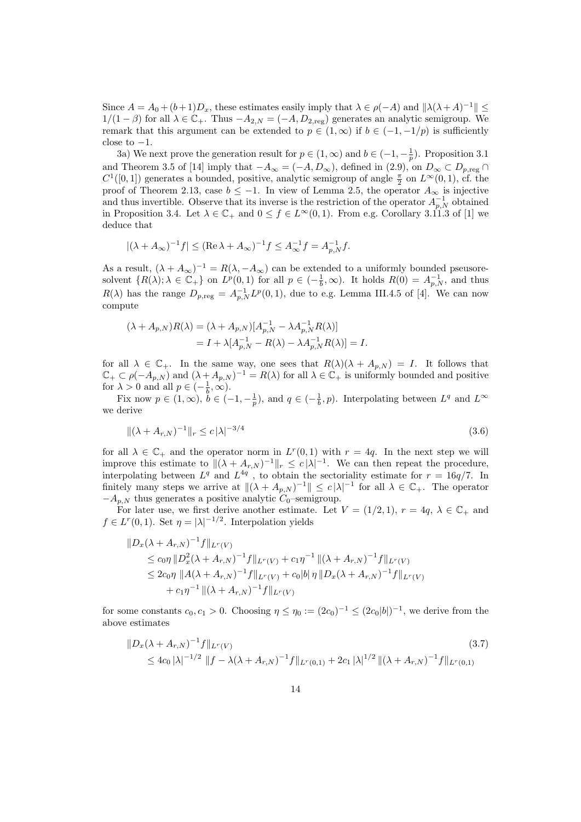Since  $A = A_0 + (b+1)D_x$ , these estimates easily imply that  $\lambda \in \rho(-A)$  and  $\|\lambda(\lambda+A)^{-1}\| \le$  $1/(1 - \beta)$  for all  $\lambda \in \mathbb{C}_+$ . Thus  $-A_{2,N} = (-A, D_{2,\text{reg}})$  generates an analytic semigroup. We remark that this argument can be extended to  $p \in (1,\infty)$  if  $b \in (-1,-1/p)$  is sufficiently close to  $-1$ .

3a) We next prove the generation result for  $p \in (1,\infty)$  and  $b \in (-1,-\frac{1}{p})$ . Proposition 3.1 and Theorem 3.5 of [14] imply that  $-A_{\infty} = (-A, D_{\infty})$ , defined in  $(2.9)$ , on  $D_{\infty} \subset D_{p,reg} \cap D_{\infty}$  $C^1([0,1])$  generates a bounded, positive, analytic semigroup of angle  $\frac{\pi}{2}$  on  $L^{\infty}(0,1)$ , cf. the proof of Theorem 2.13, case  $b \le -1$ . In view of Lemma 2.5, the operator  $A_{\infty}$  is injective and thus invertible. Observe that its inverse is the restriction of the operator  $A_{p,N}^{-1}$  obtained in Proposition 3.4. Let  $\lambda \in \mathbb{C}_+$  and  $0 \le f \in L^{\infty}(0,1)$ . From e.g. Corollary 3.11.3 of [1] we deduce that

$$
|(\lambda + A_{\infty})^{-1}f| \leq (\text{Re }\lambda + A_{\infty})^{-1}f \leq A_{\infty}^{-1}f = A_{p,N}^{-1}f.
$$

As a result,  $(\lambda + A_{\infty})^{-1} = R(\lambda, -A_{\infty})$  can be extended to a uniformly bounded pseusoresolvent  $\{R(\lambda); \lambda \in \mathbb{C}_+\}$  on  $L^p(0,1)$  for all  $p \in (-\frac{1}{b}, \infty)$ . It holds  $R(0) = A_{p,N}^{-1}$ , and thus  $R(\lambda)$  has the range  $D_{p,\text{reg}} = A_{p,N}^{-1} L^p(0,1)$ , due to e.g. Lemma III.4.5 of [4]. We can now compute

$$
(\lambda + A_{p,N})R(\lambda) = (\lambda + A_{p,N})[A_{p,N}^{-1} - \lambda A_{p,N}^{-1}R(\lambda)]
$$
  
=  $I + \lambda[A_{p,N}^{-1} - R(\lambda) - \lambda A_{p,N}^{-1}R(\lambda)] = I.$ 

for all  $\lambda \in \mathbb{C}_+$ . In the same way, one sees that  $R(\lambda)(\lambda + A_{p,N}) = I$ . It follows that  $\mathbb{C}_+ \subset \rho(-A_{p,N})$  and  $(\lambda + A_{p,N})^{-1} = R(\lambda)$  for all  $\lambda \in \mathbb{C}_+$  is uniformly bounded and positive for  $\lambda > 0$  and all  $p \in \left(-\frac{1}{b}, \infty\right)$ .

Fix now  $p \in (1,\infty)$ ,  $\check{b} \in (-1,-\frac{1}{p})$ , and  $q \in (-\frac{1}{b},p)$ . Interpolating between  $L^q$  and  $L^{\infty}$ we derive

$$
\|(\lambda + A_{r,N})^{-1}\|_{r} \le c\|\lambda\|^{-3/4} \tag{3.6}
$$

for all  $\lambda \in \mathbb{C}_+$  and the operator norm in  $L^r(0,1)$  with  $r = 4q$ . In the next step we will improve this estimate to  $\|(\lambda + A_{r,N})^{-1}\|_r \leq c |\lambda|^{-1}$ . We can then repeat the procedure, interpolating between  $L^q$  and  $L^{4q}$ , to obtain the sectoriality estimate for  $r = 16q/7$ . In finitely many steps we arrive at  $\|(\lambda + A_{p,N})^{-1}\| \leq c |\lambda|^{-1}$  for all  $\lambda \in \mathbb{C}_{+}$ . The operator  $-A_{p,N}$  thus generates a positive analytic  $C_0$ –semigroup.

For later use, we first derive another estimate. Let  $V = (1/2, 1), r = 4q, \lambda \in \mathbb{C}_+$  and  $f \in L^r(0,1)$ . Set  $\eta = |\lambda|^{-1/2}$ . Interpolation yields

$$
\|D_x(\lambda + A_{r,N})^{-1}f\|_{L^r(V)}
$$
  
\n
$$
\leq c_0 \eta \|D_x^2(\lambda + A_{r,N})^{-1}f\|_{L^r(V)} + c_1 \eta^{-1} \|(\lambda + A_{r,N})^{-1}f\|_{L^r(V)}
$$
  
\n
$$
\leq 2c_0 \eta \|A(\lambda + A_{r,N})^{-1}f\|_{L^r(V)} + c_0|b|\eta \|D_x(\lambda + A_{r,N})^{-1}f\|_{L^r(V)}
$$
  
\n
$$
+ c_1 \eta^{-1} \|(\lambda + A_{r,N})^{-1}f\|_{L^r(V)}
$$

for some constants  $c_0, c_1 > 0$ . Choosing  $\eta \leq \eta_0 := (2c_0)^{-1} \leq (2c_0|b|)^{-1}$ , we derive from the above estimates

$$
\|D_x(\lambda + A_{r,N})^{-1}f\|_{L^r(V)}\n\n\leq 4c_0 |\lambda|^{-1/2} \|f - \lambda(\lambda + A_{r,N})^{-1}f\|_{L^r(0,1)} + 2c_1 |\lambda|^{1/2} \|(\lambda + A_{r,N})^{-1}f\|_{L^r(0,1)}\n
$$
\n(3.7)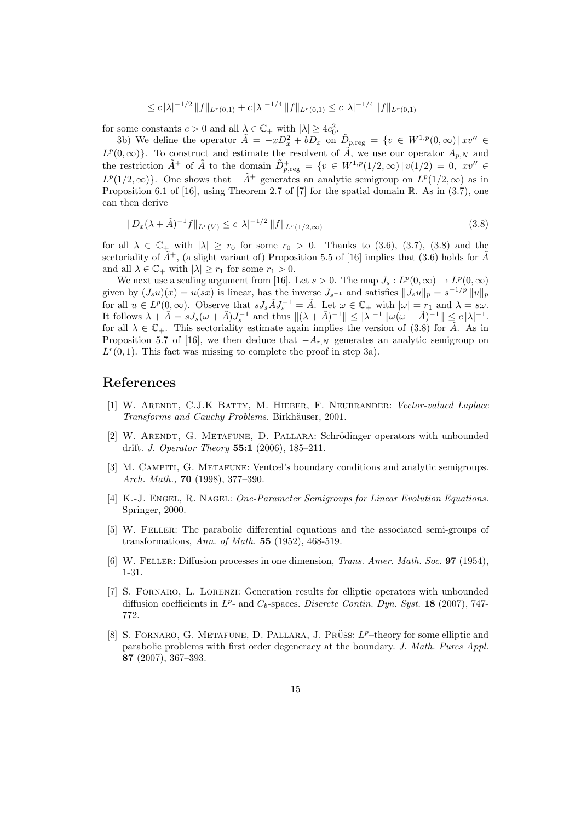$$
\leq c |\lambda|^{-1/2} ||f||_{L^r(0,1)} + c |\lambda|^{-1/4} ||f||_{L^r(0,1)} \leq c |\lambda|^{-1/4} ||f||_{L^r(0,1)}
$$

for some constants  $c > 0$  and all  $\lambda \in \mathbb{C}_+$  with  $|\lambda| \geq 4c_0^2$ .

3b) We define the operator  $\tilde{A} = -xD_x^2 + bD_x$  on  $\tilde{D}_{p,\text{reg}} = \{v \in W^{1,p}(0,\infty) | xv'' \in$  $L^p(0,\infty)$ . To construct and estimate the resolvent of  $\tilde{A}$ , we use our operator  $A_{p,N}$  and the restriction  $\tilde{A}^+$  of  $\tilde{A}$  to the domain  $\tilde{D}^+_{p,\text{reg}} = \{v \in W^{1,p}(1/2,\infty) | v(1/2) = 0, v' \in$  $L^p(1/2,\infty)$ . One shows that  $-\tilde{A}^+$  generates an analytic semigroup on  $L^p(1/2,\infty)$  as in Proposition 6.1 of [16], using Theorem 2.7 of [7] for the spatial domain R. As in  $(3.7)$ , one can then derive

$$
||D_x(\lambda + \tilde{A})^{-1}f||_{L^r(V)} \le c |\lambda|^{-1/2} ||f||_{L^r(1/2,\infty)}
$$
\n(3.8)

for all  $\lambda \in \mathbb{C}_+$  with  $|\lambda| \geq r_0$  for some  $r_0 > 0$ . Thanks to (3.6), (3.7), (3.8) and the sectoriality of  $\tilde{A}^+$ , (a slight variant of) Proposition 5.5 of [16] implies that (3.6) holds for  $\tilde{A}$ and all  $\lambda \in \mathbb{C}_+$  with  $|\lambda| \geq r_1$  for some  $r_1 > 0$ .

We next use a scaling argument from [16]. Let  $s > 0$ . The map  $J_s : L^p(0, \infty) \to L^p(0, \infty)$ given by  $(J_s u)(x) = u(sx)$  is linear, has the inverse  $J_{s^{-1}}$  and satisfies  $||J_s u||_p = s^{-1/p} ||u||_p$ for all  $u \in L^p(0, \infty)$ . Observe that  $sJ_s\tilde{A}J_s^{-1} = \tilde{A}$ . Let  $\omega \in \mathbb{C}_+$  with  $|\omega| = r_1$  and  $\lambda = s\omega$ . It follows  $\lambda + \tilde{A} = sJ_s(\omega + \tilde{A})J_s^{-1}$  and thus  $\|(\lambda + \tilde{A})^{-1}\| \leq |\lambda|^{-1} \|\omega(\omega + \tilde{A})^{-1}\| \leq c |\lambda|^{-1}$ . for all  $\lambda \in \mathbb{C}_+$ . This sectoriality estimate again implies the version of (3.8) for  $\tilde{A}$ . As in Proposition 5.7 of [16], we then deduce that  $-A_{r,N}$  generates an analytic semigroup on  $L^r(0,1)$ . This fact was missing to complete the proof in step 3a).  $\Box$ 

### References

- [1] W. Arendt, C.J.K Batty, M. Hieber, F. Neubrander: Vector-valued Laplace Transforms and Cauchy Problems. Birkhäuser, 2001.
- [2] W. ARENDT, G. METAFUNE, D. PALLARA: Schrödinger operators with unbounded drift. *J. Operator Theory* **55:1** (2006), 185-211.
- [3] M. Campiti, G. Metafune: Ventcel's boundary conditions and analytic semigroups. Arch. Math., 70 (1998), 377–390.
- [4] K.-J. ENGEL, R. NAGEL: One-Parameter Semigroups for Linear Evolution Equations. Springer, 2000.
- [5] W. Feller: The parabolic differential equations and the associated semi-groups of transformations, Ann. of Math. 55 (1952), 468-519.
- [6] W. Feller: Diffusion processes in one dimension, Trans. Amer. Math. Soc. 97 (1954), 1-31.
- [7] S. Fornaro, L. Lorenzi: Generation results for elliptic operators with unbounded diffusion coefficients in  $L^p$ - and  $C_b$ -spaces. Discrete Contin. Dyn. Syst. 18 (2007), 747-772.
- [8] S. FORNARO, G. METAFUNE, D. PALLARA, J. PRÜSS:  $L^p$ -theory for some elliptic and parabolic problems with first order degeneracy at the boundary. J. Math. Pures Appl. 87 (2007), 367–393.